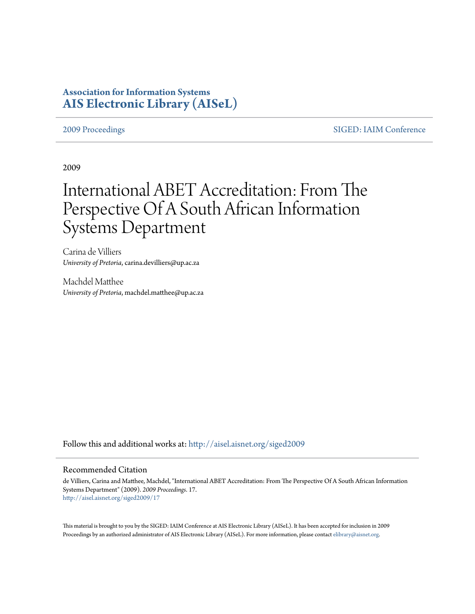# **Association for Information Systems [AIS Electronic Library \(AISeL\)](http://aisel.aisnet.org?utm_source=aisel.aisnet.org%2Fsiged2009%2F17&utm_medium=PDF&utm_campaign=PDFCoverPages)**

[2009 Proceedings](http://aisel.aisnet.org/siged2009?utm_source=aisel.aisnet.org%2Fsiged2009%2F17&utm_medium=PDF&utm_campaign=PDFCoverPages) [SIGED: IAIM Conference](http://aisel.aisnet.org/siged?utm_source=aisel.aisnet.org%2Fsiged2009%2F17&utm_medium=PDF&utm_campaign=PDFCoverPages)

2009

# International ABET Accreditation: From The Perspective Of A South African Information Systems Department

Carina de Villiers *University of Pretoria*, carina.devilliers@up.ac.za

Machdel Matthee *University of Pretoria*, machdel.matthee@up.ac.za

Follow this and additional works at: [http://aisel.aisnet.org/siged2009](http://aisel.aisnet.org/siged2009?utm_source=aisel.aisnet.org%2Fsiged2009%2F17&utm_medium=PDF&utm_campaign=PDFCoverPages)

## Recommended Citation

de Villiers, Carina and Matthee, Machdel, "International ABET Accreditation: From The Perspective Of A South African Information Systems Department" (2009). *2009 Proceedings*. 17. [http://aisel.aisnet.org/siged2009/17](http://aisel.aisnet.org/siged2009/17?utm_source=aisel.aisnet.org%2Fsiged2009%2F17&utm_medium=PDF&utm_campaign=PDFCoverPages)

This material is brought to you by the SIGED: IAIM Conference at AIS Electronic Library (AISeL). It has been accepted for inclusion in 2009 Proceedings by an authorized administrator of AIS Electronic Library (AISeL). For more information, please contact [elibrary@aisnet.org](mailto:elibrary@aisnet.org%3E).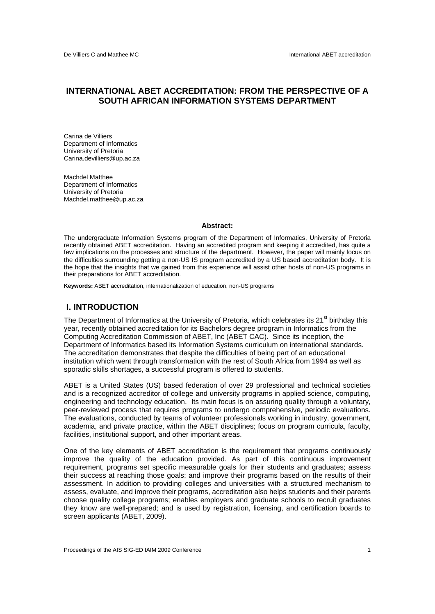# **INTERNATIONAL ABET ACCREDITATION: FROM THE PERSPECTIVE OF A SOUTH AFRICAN INFORMATION SYSTEMS DEPARTMENT**

Carina de Villiers Department of Informatics University of Pretoria Carina.devilliers@up.ac.za

Machdel Matthee Department of Informatics University of Pretoria Machdel.matthee@up.ac.za

#### **Abstract:**

The undergraduate Information Systems program of the Department of Informatics, University of Pretoria recently obtained ABET accreditation. Having an accredited program and keeping it accredited, has quite a few implications on the processes and structure of the department. However, the paper will mainly focus on the difficulties surrounding getting a non-US IS program accredited by a US based accreditation body. It is the hope that the insights that we gained from this experience will assist other hosts of non-US programs in their preparations for ABET accreditation.

**Keywords:** ABET accreditation, internationalization of education, non-US programs

# **I. INTRODUCTION**

The Department of Informatics at the University of Pretoria, which celebrates its  $21<sup>st</sup>$  birthday this year, recently obtained accreditation for its Bachelors degree program in Informatics from the Computing Accreditation Commission of ABET, Inc (ABET CAC). Since its inception, the Department of Informatics based its Information Systems curriculum on international standards. The accreditation demonstrates that despite the difficulties of being part of an educational institution which went through transformation with the rest of South Africa from 1994 as well as sporadic skills shortages, a successful program is offered to students.

ABET is a United States (US) based federation of over 29 professional and technical societies and is a recognized accreditor of college and university programs in applied science, computing, engineering and technology education. Its main focus is on assuring quality through a voluntary, peer-reviewed process that requires programs to undergo comprehensive, periodic evaluations. The evaluations, conducted by teams of volunteer professionals working in industry, government, academia, and private practice, within the ABET disciplines; focus on program curricula, faculty, facilities, institutional support, and other important areas.

One of the key elements of ABET accreditation is the requirement that programs continuously improve the quality of the education provided. As part of this continuous improvement requirement, programs set specific measurable goals for their students and graduates; assess their success at reaching those goals; and improve their programs based on the results of their assessment. In addition to providing colleges and universities with a structured mechanism to assess, evaluate, and improve their programs, accreditation also helps students and their parents choose quality college programs; enables employers and graduate schools to recruit graduates they know are well-prepared; and is used by registration, licensing, and certification boards to screen applicants (ABET, 2009).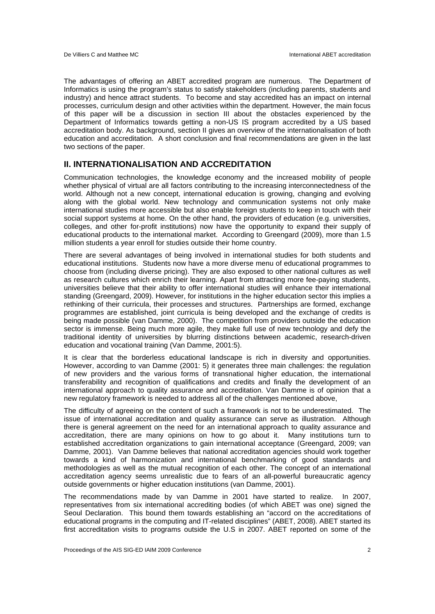The advantages of offering an ABET accredited program are numerous. The Department of Informatics is using the program's status to satisfy stakeholders (including parents, students and industry) and hence attract students. To become and stay accredited has an impact on internal processes, curriculum design and other activities within the department. However, the main focus of this paper will be a discussion in section III about the obstacles experienced by the Department of Informatics towards getting a non-US IS program accredited by a US based accreditation body. As background, section II gives an overview of the internationalisation of both education and accreditation. A short conclusion and final recommendations are given in the last two sections of the paper.

# **II. INTERNATIONALISATION AND ACCREDITATION**

Communication technologies, the knowledge economy and the increased mobility of people whether physical of virtual are all factors contributing to the increasing interconnectedness of the world. Although not a new concept, international education is growing, changing and evolving along with the global world. New technology and communication systems not only make international studies more accessible but also enable foreign students to keep in touch with their social support systems at home. On the other hand, the providers of education (e.g. universities, colleges, and other for-profit institutions) now have the opportunity to expand their supply of educational products to the international market. According to Greengard (2009), more than 1.5 million students a year enroll for studies outside their home country.

There are several advantages of being involved in international studies for both students and educational institutions. Students now have a more diverse menu of educational programmes to choose from (including diverse pricing). They are also exposed to other national cultures as well as research cultures which enrich their learning. Apart from attracting more fee-paying students, universities believe that their ability to offer international studies will enhance their international standing (Greengard, 2009). However, for institutions in the higher education sector this implies a rethinking of their curricula, their processes and structures. Partnerships are formed, exchange programmes are established, joint curricula is being developed and the exchange of credits is being made possible (van Damme, 2000). The competition from providers outside the education sector is immense. Being much more agile, they make full use of new technology and defy the traditional identity of universities by blurring distinctions between academic, research-driven education and vocational training (Van Damme, 2001:5).

It is clear that the borderless educational landscape is rich in diversity and opportunities. However, according to van Damme (2001: 5) it generates three main challenges: the regulation of new providers and the various forms of transnational higher education, the international transferability and recognition of qualifications and credits and finally the development of an international approach to quality assurance and accreditation. Van Damme is of opinion that a new regulatory framework is needed to address all of the challenges mentioned above,

The difficulty of agreeing on the content of such a framework is not to be underestimated. The issue of international accreditation and quality assurance can serve as illustration. Although there is general agreement on the need for an international approach to quality assurance and accreditation, there are many opinions on how to go about it. Many institutions turn to established accreditation organizations to gain international acceptance (Greengard, 2009; van Damme, 2001). Van Damme believes that national accreditation agencies should work together towards a kind of harmonization and international benchmarking of good standards and methodologies as well as the mutual recognition of each other. The concept of an international accreditation agency seems unrealistic due to fears of an all-powerful bureaucratic agency outside governments or higher education institutions (van Damme, 2001).

The recommendations made by van Damme in 2001 have started to realize. In 2007, representatives from six international accrediting bodies (of which ABET was one) signed the Seoul Declaration. This bound them towards establishing an "accord on the accreditations of educational programs in the computing and IT-related disciplines" (ABET, 2008). ABET started its first accreditation visits to programs outside the U.S in 2007. ABET reported on some of the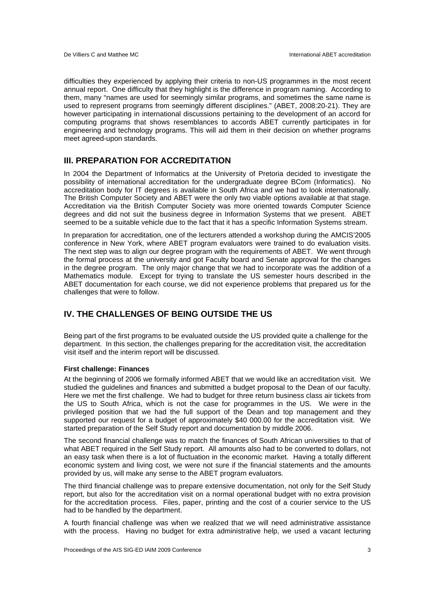difficulties they experienced by applying their criteria to non-US programmes in the most recent annual report. One difficulty that they highlight is the difference in program naming. According to them, many "names are used for seemingly similar programs, and sometimes the same name is used to represent programs from seemingly different disciplines." (ABET, 2008:20-21). They are however participating in international discussions pertaining to the development of an accord for computing programs that shows resemblances to accords ABET currently participates in for engineering and technology programs. This will aid them in their decision on whether programs meet agreed-upon standards.

# **III. PREPARATION FOR ACCREDITATION**

In 2004 the Department of Informatics at the University of Pretoria decided to investigate the possibility of international accreditation for the undergraduate degree BCom (Informatics). No accreditation body for IT degrees is available in South Africa and we had to look internationally. The British Computer Society and ABET were the only two viable options available at that stage. Accreditation via the British Computer Society was more oriented towards Computer Science degrees and did not suit the business degree in Information Systems that we present. ABET seemed to be a suitable vehicle due to the fact that it has a specific Information Systems stream.

In preparation for accreditation, one of the lecturers attended a workshop during the AMCIS'2005 conference in New York, where ABET program evaluators were trained to do evaluation visits. The next step was to align our degree program with the requirements of ABET. We went through the formal process at the university and got Faculty board and Senate approval for the changes in the degree program. The only major change that we had to incorporate was the addition of a Mathematics module. Except for trying to translate the US semester hours described in the ABET documentation for each course, we did not experience problems that prepared us for the challenges that were to follow.

# **IV. THE CHALLENGES OF BEING OUTSIDE THE US**

Being part of the first programs to be evaluated outside the US provided quite a challenge for the department. In this section, the challenges preparing for the accreditation visit, the accreditation visit itself and the interim report will be discussed.

#### **First challenge: Finances**

At the beginning of 2006 we formally informed ABET that we would like an accreditation visit. We studied the guidelines and finances and submitted a budget proposal to the Dean of our faculty. Here we met the first challenge. We had to budget for three return business class air tickets from the US to South Africa, which is not the case for programmes in the US. We were in the privileged position that we had the full support of the Dean and top management and they supported our request for a budget of approximately \$40 000.00 for the accreditation visit. We started preparation of the Self Study report and documentation by middle 2006.

The second financial challenge was to match the finances of South African universities to that of what ABET required in the Self Study report. All amounts also had to be converted to dollars, not an easy task when there is a lot of fluctuation in the economic market. Having a totally different economic system and living cost, we were not sure if the financial statements and the amounts provided by us, will make any sense to the ABET program evaluators.

The third financial challenge was to prepare extensive documentation, not only for the Self Study report, but also for the accreditation visit on a normal operational budget with no extra provision for the accreditation process. Files, paper, printing and the cost of a courier service to the US had to be handled by the department.

A fourth financial challenge was when we realized that we will need administrative assistance with the process. Having no budget for extra administrative help, we used a vacant lecturing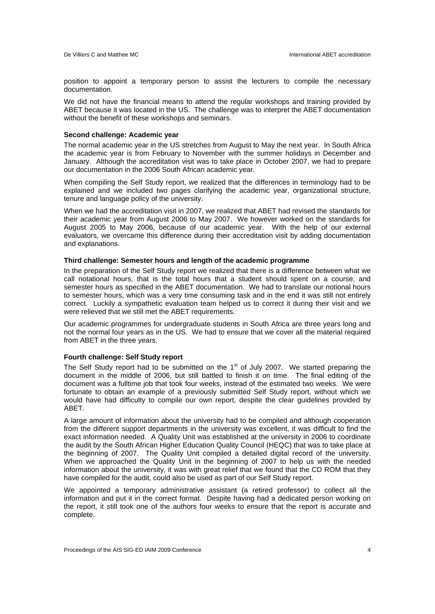position to appoint a temporary person to assist the lecturers to compile the necessary documentation.

We did not have the financial means to attend the regular workshops and training provided by ABET because it was located in the US. The challenge was to interpret the ABET documentation without the benefit of these workshops and seminars.

#### **Second challenge: Academic year**

The normal academic year in the US stretches from August to May the next year. In South Africa the academic year is from February to November with the summer holidays in December and January. Although the accreditation visit was to take place in October 2007, we had to prepare our documentation in the 2006 South African academic year.

When compiling the Self Study report, we realized that the differences in terminology had to be explained and we included two pages clarifying the academic year, organizational structure, tenure and language policy of the university.

When we had the accreditation visit in 2007, we realized that ABET had revised the standards for their academic year from August 2006 to May 2007. We however worked on the standards for August 2005 to May 2006, because of our academic year. With the help of our external evaluators, we overcame this difference during their accreditation visit by adding documentation and explanations.

#### **Third challenge: Semester hours and length of the academic programme**

In the preparation of the Self Study report we realized that there is a difference between what we call notational hours, that is the total hours that a student should spent on a course, and semester hours as specified in the ABET documentation. We had to translate our notional hours to semester hours, which was a very time consuming task and in the end it was still not entirely correct. Luckily a sympathetic evaluation team helped us to correct it during their visit and we were relieved that we still met the ABET requirements.

Our academic programmes for undergraduate students in South Africa are three years long and not the normal four years as in the US. We had to ensure that we cover all the material required from ABET in the three years.

#### **Fourth challenge: Self Study report**

The Self Study report had to be submitted on the  $1<sup>st</sup>$  of July 2007. We started preparing the document in the middle of 2006, but still battled to finish it on time. The final editing of the document was a fulltime job that took four weeks, instead of the estimated two weeks. We were fortunate to obtain an example of a previously submitted Self Study report, without which we would have had difficulty to compile our own report, despite the clear guidelines provided by ABET.

A large amount of information about the university had to be compiled and although cooperation from the different support departments in the university was excellent, it was difficult to find the exact information needed. A Quality Unit was established at the university in 2006 to coordinate the audit by the South African Higher Education Quality Council (HEQC) that was to take place at the beginning of 2007. The Quality Unit compiled a detailed digital record of the university. When we approached the Quality Unit in the beginning of 2007 to help us with the needed information about the university, it was with great relief that we found that the CD ROM that they have compiled for the audit, could also be used as part of our Self Study report.

We appointed a temporary administrative assistant (a retired professor) to collect all the information and put it in the correct format. Despite having had a dedicated person working on the report, it still took one of the authors four weeks to ensure that the report is accurate and complete.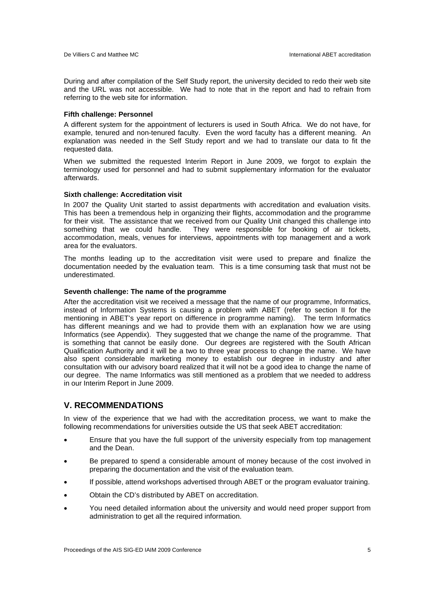During and after compilation of the Self Study report, the university decided to redo their web site and the URL was not accessible. We had to note that in the report and had to refrain from referring to the web site for information.

#### **Fifth challenge: Personnel**

A different system for the appointment of lecturers is used in South Africa. We do not have, for example, tenured and non-tenured faculty. Even the word faculty has a different meaning. An explanation was needed in the Self Study report and we had to translate our data to fit the requested data.

When we submitted the requested Interim Report in June 2009, we forgot to explain the terminology used for personnel and had to submit supplementary information for the evaluator afterwards.

## **Sixth challenge: Accreditation visit**

In 2007 the Quality Unit started to assist departments with accreditation and evaluation visits. This has been a tremendous help in organizing their flights, accommodation and the programme for their visit. The assistance that we received from our Quality Unit changed this challenge into something that we could handle. They were responsible for booking of air tickets, accommodation, meals, venues for interviews, appointments with top management and a work area for the evaluators.

The months leading up to the accreditation visit were used to prepare and finalize the documentation needed by the evaluation team. This is a time consuming task that must not be underestimated.

#### **Seventh challenge: The name of the programme**

After the accreditation visit we received a message that the name of our programme, Informatics, instead of Information Systems is causing a problem with ABET (refer to section II for the mentioning in ABET's year report on difference in programme naming). The term Informatics has different meanings and we had to provide them with an explanation how we are using Informatics (see Appendix). They suggested that we change the name of the programme. That is something that cannot be easily done. Our degrees are registered with the South African Qualification Authority and it will be a two to three year process to change the name. We have also spent considerable marketing money to establish our degree in industry and after consultation with our advisory board realized that it will not be a good idea to change the name of our degree. The name Informatics was still mentioned as a problem that we needed to address in our Interim Report in June 2009.

# **V. RECOMMENDATIONS**

In view of the experience that we had with the accreditation process, we want to make the following recommendations for universities outside the US that seek ABET accreditation:

- Ensure that you have the full support of the university especially from top management and the Dean.
- Be prepared to spend a considerable amount of money because of the cost involved in preparing the documentation and the visit of the evaluation team.
- If possible, attend workshops advertised through ABET or the program evaluator training.
- Obtain the CD's distributed by ABET on accreditation.
- You need detailed information about the university and would need proper support from administration to get all the required information.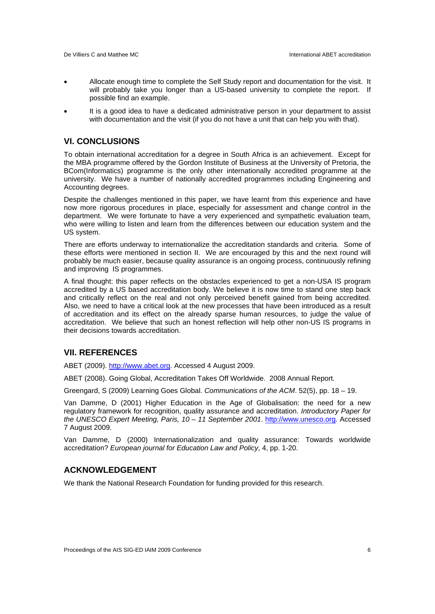- Allocate enough time to complete the Self Study report and documentation for the visit. It will probably take you longer than a US-based university to complete the report. If possible find an example.
- It is a good idea to have a dedicated administrative person in your department to assist with documentation and the visit (if you do not have a unit that can help you with that).

# **VI. CONCLUSIONS**

To obtain international accreditation for a degree in South Africa is an achievement. Except for the MBA programme offered by the Gordon Institute of Business at the University of Pretoria, the BCom(Informatics) programme is the only other internationally accredited programme at the university. We have a number of nationally accredited programmes including Engineering and Accounting degrees.

Despite the challenges mentioned in this paper, we have learnt from this experience and have now more rigorous procedures in place, especially for assessment and change control in the department. We were fortunate to have a very experienced and sympathetic evaluation team, who were willing to listen and learn from the differences between our education system and the US system.

There are efforts underway to internationalize the accreditation standards and criteria. Some of these efforts were mentioned in section II. We are encouraged by this and the next round will probably be much easier, because quality assurance is an ongoing process, continuously refining and improving IS programmes.

A final thought: this paper reflects on the obstacles experienced to get a non-USA IS program accredited by a US based accreditation body. We believe it is now time to stand one step back and critically reflect on the real and not only perceived benefit gained from being accredited. Also, we need to have a critical look at the new processes that have been introduced as a result of accreditation and its effect on the already sparse human resources, to judge the value of accreditation. We believe that such an honest reflection will help other non-US IS programs in their decisions towards accreditation.

# **VII. REFERENCES**

ABET (2009). http://www.abet.org. Accessed 4 August 2009.

ABET (2008). Going Global, Accreditation Takes Off Worldwide. 2008 Annual Report.

Greengard, S (2009) Learning Goes Global. *Communications of the ACM*. 52(5), pp. 18 – 19.

Van Damme, D (2001) Higher Education in the Age of Globalisation: the need for a new regulatory framework for recognition, quality assurance and accreditation. *Introductory Paper for the UNESCO Expert Meeting, Paris, 10 – 11 September 2001*. http://www.unesco.org. Accessed 7 August 2009.

Van Damme, D (2000) Internationalization and quality assurance: Towards worldwide accreditation? *European journal for Education Law and Policy*, 4, pp. 1-20.

# **ACKNOWLEDGEMENT**

We thank the National Research Foundation for funding provided for this research.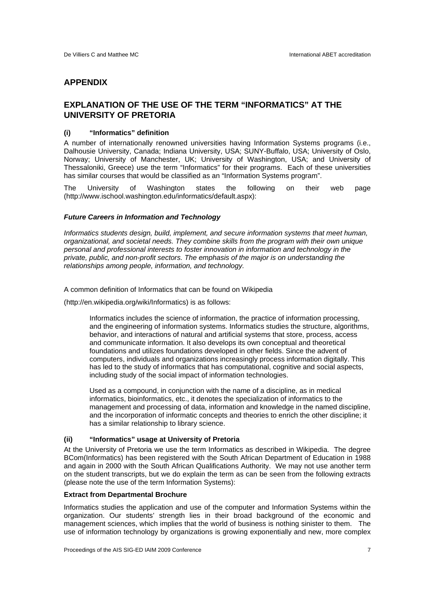# **APPENDIX**

# **EXPLANATION OF THE USE OF THE TERM "INFORMATICS" AT THE UNIVERSITY OF PRETORIA**

# **(i) "Informatics" definition**

A number of internationally renowned universities having Information Systems programs (i.e., Dalhousie University, Canada; Indiana University, USA; SUNY-Buffalo, USA; University of Oslo, Norway; University of Manchester, UK; University of Washington, USA; and University of Thessaloniki, Greece) use the term "Informatics" for their programs. Each of these universities has similar courses that would be classified as an "Information Systems program".

The University of Washington states the following on their web page (http://www.ischool.washington.edu/informatics/default.aspx):

#### *Future Careers in Information and Technology*

*Informatics students design, build, implement, and secure information systems that meet human, organizational, and societal needs. They combine skills from the program with their own unique personal and professional interests to foster innovation in information and technology in the private, public, and non-profit sectors. The emphasis of the major is on understanding the relationships among people, information, and technology.*

A common definition of Informatics that can be found on Wikipedia

(http://en.wikipedia.org/wiki/Informatics) is as follows:

Informatics includes the science of information, the practice of information processing, and the engineering of information systems. Informatics studies the structure, algorithms, behavior, and interactions of natural and artificial systems that store, process, access and communicate information. It also develops its own conceptual and theoretical foundations and utilizes foundations developed in other fields. Since the advent of computers, individuals and organizations increasingly process information digitally. This has led to the study of informatics that has computational, cognitive and social aspects, including study of the social impact of information technologies.

Used as a compound, in conjunction with the name of a discipline, as in medical informatics, bioinformatics, etc., it denotes the specialization of informatics to the management and processing of data, information and knowledge in the named discipline, and the incorporation of informatic concepts and theories to enrich the other discipline; it has a similar relationship to library science.

### **(ii) "Informatics" usage at University of Pretoria**

At the University of Pretoria we use the term Informatics as described in Wikipedia. The degree BCom(Informatics) has been registered with the South African Department of Education in 1988 and again in 2000 with the South African Qualifications Authority. We may not use another term on the student transcripts, but we do explain the term as can be seen from the following extracts (please note the use of the term Information Systems):

#### **Extract from Departmental Brochure**

Informatics studies the application and use of the computer and Information Systems within the organization. Our students' strength lies in their broad background of the economic and management sciences, which implies that the world of business is nothing sinister to them. The use of information technology by organizations is growing exponentially and new, more complex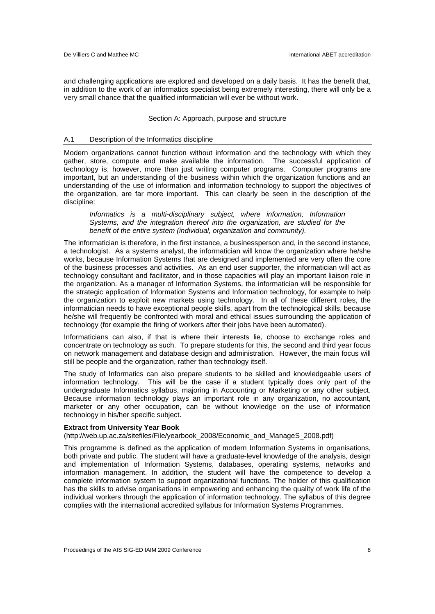and challenging applications are explored and developed on a daily basis. It has the benefit that, in addition to the work of an informatics specialist being extremely interesting, there will only be a very small chance that the qualified informatician will ever be without work.

#### Section A: Approach, purpose and structure

# A.1 Description of the Informatics discipline

Modern organizations cannot function without information and the technology with which they gather, store, compute and make available the information. The successful application of technology is, however, more than just writing computer programs. Computer programs are important, but an understanding of the business within which the organization functions and an understanding of the use of information and information technology to support the objectives of the organization, are far more important. This can clearly be seen in the description of the discipline:

*Informatics is a multi-disciplinary subject, where information, Information Systems, and the integration thereof into the organization, are studied for the benefit of the entire system (individual, organization and community).* 

The informatician is therefore, in the first instance, a businessperson and, in the second instance, a technologist. As a systems analyst, the informatician will know the organization where he/she works, because Information Systems that are designed and implemented are very often the core of the business processes and activities. As an end user supporter, the informatician will act as technology consultant and facilitator, and in those capacities will play an important liaison role in the organization. As a manager of Information Systems, the informatician will be responsible for the strategic application of Information Systems and Information technology, for example to help the organization to exploit new markets using technology. In all of these different roles, the informatician needs to have exceptional people skills, apart from the technological skills, because he/she will frequently be confronted with moral and ethical issues surrounding the application of technology (for example the firing of workers after their jobs have been automated).

Informaticians can also, if that is where their interests lie, choose to exchange roles and concentrate on technology as such. To prepare students for this, the second and third year focus on network management and database design and administration. However, the main focus will still be people and the organization, rather than technology itself.

The study of Informatics can also prepare students to be skilled and knowledgeable users of information technology. This will be the case if a student typically does only part of the undergraduate Informatics syllabus, majoring in Accounting or Marketing or any other subject. Because information technology plays an important role in any organization, no accountant, marketer or any other occupation, can be without knowledge on the use of information technology in his/her specific subject.

#### **Extract from University Year Book**

(http://web.up.ac.za/sitefiles/File/yearbook\_2008/Economic\_and\_ManageS\_2008.pdf)

This programme is defined as the application of modern Information Systems in organisations, both private and public. The student will have a graduate-level knowledge of the analysis, design and implementation of Information Systems, databases, operating systems, networks and information management. In addition, the student will have the competence to develop a complete information system to support organizational functions. The holder of this qualification has the skills to advise organisations in empowering and enhancing the quality of work life of the individual workers through the application of information technology. The syllabus of this degree complies with the international accredited syllabus for Information Systems Programmes.